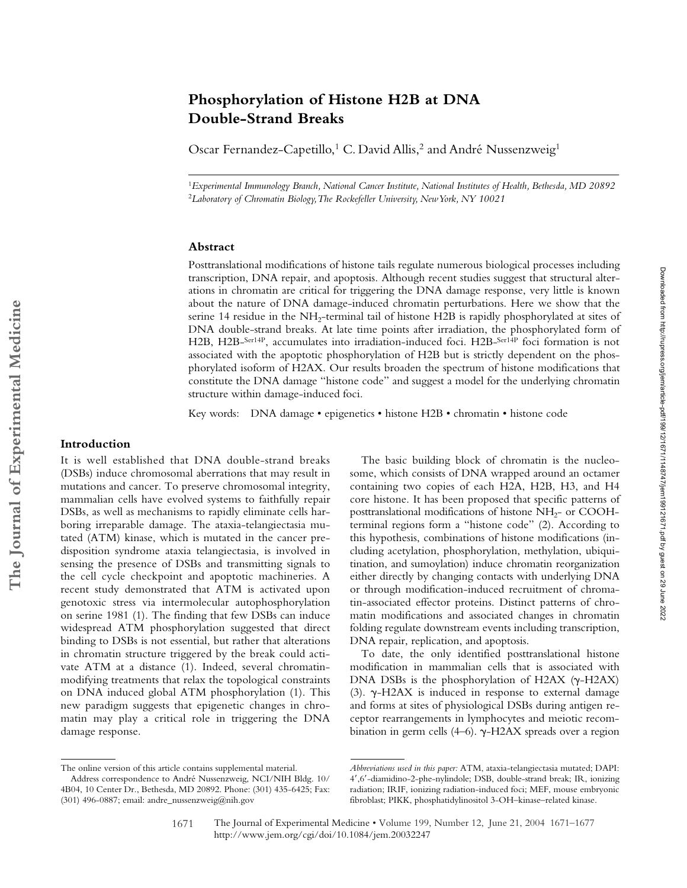# The Journal of Experimental Medicine **The Journal of Experimental Medicine**

# **Phosphorylation of Histone H2B at DNA Double-Strand Breaks**

Oscar Fernandez-Capetillo,<sup>1</sup> C. David Allis,<sup>2</sup> and André Nussenzweig<sup>1</sup>

<sup>1</sup>*Experimental Immunology Branch, National Cancer Institute, National Institutes of Health, Bethesda, MD 20892* <sup>2</sup>*Laboratory of Chromatin Biology, The Rockefeller University, New York, NY 10021*

# **Abstract**

Posttranslational modifications of histone tails regulate numerous biological processes including transcription, DNA repair, and apoptosis. Although recent studies suggest that structural alterations in chromatin are critical for triggering the DNA damage response, very little is known about the nature of DNA damage-induced chromatin perturbations. Here we show that the serine 14 residue in the NH2-terminal tail of histone H2B is rapidly phosphorylated at sites of DNA double-strand breaks. At late time points after irradiation, the phosphorylated form of H2B, H2B-Ser14P, accumulates into irradiation-induced foci. H2B-Ser14P foci formation is not associated with the apoptotic phosphorylation of H2B but is strictly dependent on the phosphorylated isoform of H2AX. Our results broaden the spectrum of histone modifications that constitute the DNA damage "histone code" and suggest a model for the underlying chromatin structure within damage-induced foci.

Key words: DNA damage • epigenetics • histone H2B • chromatin • histone code

# **Introduction**

It is well established that DNA double-strand breaks (DSBs) induce chromosomal aberrations that may result in mutations and cancer. To preserve chromosomal integrity, mammalian cells have evolved systems to faithfully repair DSBs, as well as mechanisms to rapidly eliminate cells harboring irreparable damage. The ataxia-telangiectasia mutated (ATM) kinase, which is mutated in the cancer predisposition syndrome ataxia telangiectasia, is involved in sensing the presence of DSBs and transmitting signals to the cell cycle checkpoint and apoptotic machineries. A recent study demonstrated that ATM is activated upon genotoxic stress via intermolecular autophosphorylation on serine 1981 (1). The finding that few DSBs can induce widespread ATM phosphorylation suggested that direct binding to DSBs is not essential, but rather that alterations in chromatin structure triggered by the break could activate ATM at a distance (1). Indeed, several chromatinmodifying treatments that relax the topological constraints on DNA induced global ATM phosphorylation (1). This new paradigm suggests that epigenetic changes in chromatin may play a critical role in triggering the DNA damage response.

The basic building block of chromatin is the nucleosome, which consists of DNA wrapped around an octamer containing two copies of each H2A, H2B, H3, and H4 core histone. It has been proposed that specific patterns of posttranslational modifications of histone  $NH<sub>2</sub>-$  or COOHterminal regions form a "histone code" (2). According to this hypothesis, combinations of histone modifications (including acetylation, phosphorylation, methylation, ubiquitination, and sumoylation) induce chromatin reorganization either directly by changing contacts with underlying DNA or through modification-induced recruitment of chromatin-associated effector proteins. Distinct patterns of chromatin modifications and associated changes in chromatin folding regulate downstream events including transcription, DNA repair, replication, and apoptosis.

To date, the only identified posttranslational histone modification in mammalian cells that is associated with DNA DSBs is the phosphorylation of H2AX  $(\gamma$ -H2AX) (3).  $\gamma$ -H2AX is induced in response to external damage and forms at sites of physiological DSBs during antigen receptor rearrangements in lymphocytes and meiotic recombination in germ cells (4–6). γ-H2AX spreads over a region

The online version of this article contains supplemental material.

Address correspondence to André Nussenzweig, NCI/NIH Bldg. 10/ 4B04, 10 Center Dr., Bethesda, MD 20892. Phone: (301) 435-6425; Fax: (301) 496-0887; email: andre\_nussenzweig@nih.gov

*Abbreviations used in this paper:* ATM, ataxia-telangiectasia mutated; DAPI: 4,6-diamidino-2-phe-nylindole; DSB, double-strand break; IR, ionizing radiation; IRIF, ionizing radiation-induced foci; MEF, mouse embryonic fibroblast; PIKK, phosphatidylinositol 3-OH–kinase–related kinase.

The Journal of Experimental Medicine • Volume 199, Number 12, June 21, 2004 1671–1677 http://www.jem.org/cgi/doi/10.1084/jem.20032247 1671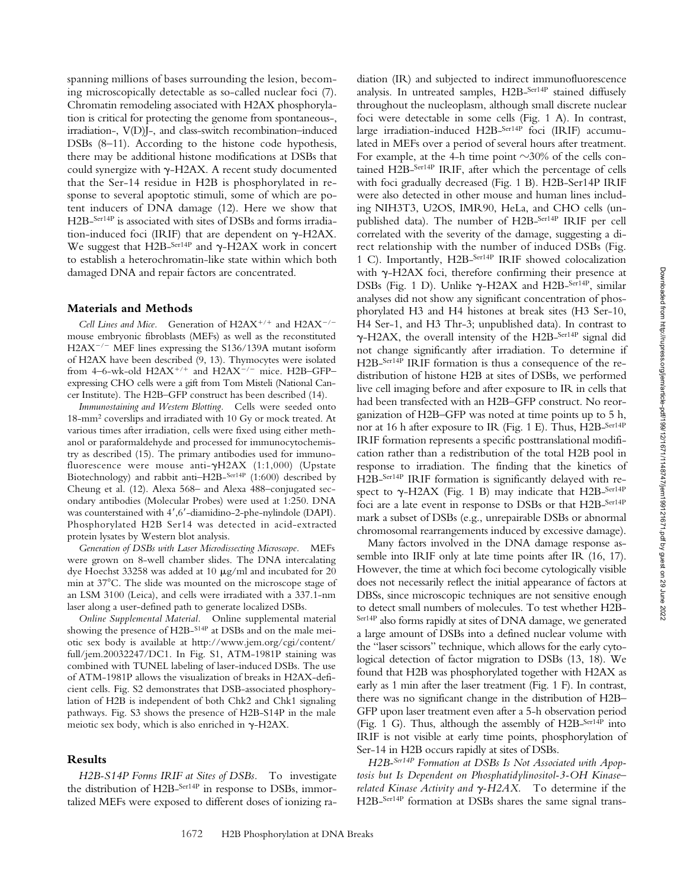spanning millions of bases surrounding the lesion, becoming microscopically detectable as so-called nuclear foci (7). Chromatin remodeling associated with H2AX phosphorylation is critical for protecting the genome from spontaneous-, irradiation-, V(D)J-, and class-switch recombination–induced DSBs (8–11). According to the histone code hypothesis, there may be additional histone modifications at DSBs that could synergize with  $\gamma$ -H2AX. A recent study documented that the Ser-14 residue in H2B is phosphorylated in response to several apoptotic stimuli, some of which are potent inducers of DNA damage (12). Here we show that H2B-Ser14P is associated with sites of DSBs and forms irradiation-induced foci (IRIF) that are dependent on  $\gamma$ -H2AX. We suggest that H2B- $^{Ser14P}$  and  $\gamma$ -H2AX work in concert to establish a heterochromatin-like state within which both damaged DNA and repair factors are concentrated.

### **Materials and Methods**

*Cell Lines and Mice.* Generation of  $H2AX^{+/+}$  and  $H2AX^{-/-}$ mouse embryonic fibroblasts (MEFs) as well as the reconstituted H2AX<sup>-/-</sup> MEF lines expressing the S136/139A mutant isoform of H2AX have been described (9, 13). Thymocytes were isolated from 4-6-wk-old H2AX<sup>+/+</sup> and H2AX<sup>-/-</sup> mice. H2B-GFPexpressing CHO cells were a gift from Tom Misteli (National Cancer Institute). The H2B–GFP construct has been described (14).

*Immunostaining and Western Blotting.* Cells were seeded onto 18-mm2 coverslips and irradiated with 10 Gy or mock treated. At various times after irradiation, cells were fixed using either methanol or paraformaldehyde and processed for immunocytochemistry as described (15). The primary antibodies used for immunofluorescence were mouse anti- $\gamma$ H2AX (1:1,000) (Upstate Biotechnology) and rabbit anti-H2B-Ser14P (1:600) described by Cheung et al. (12). Alexa 568– and Alexa 488–conjugated secondary antibodies (Molecular Probes) were used at 1:250. DNA was counterstained with 4',6'-diamidino-2-phe-nylindole (DAPI). Phosphorylated H2B Ser14 was detected in acid-extracted protein lysates by Western blot analysis.

*Generation of DSBs with Laser Microdissecting Microscope.* MEFs were grown on 8-well chamber slides. The DNA intercalating dye Hoechst 33258 was added at 10  $\mu{\rm g}/{\rm ml}$  and incubated for 20 min at 37<sup>°</sup>C. The slide was mounted on the microscope stage of an LSM 3100 (Leica), and cells were irradiated with a 337.1-nm laser along a user-defined path to generate localized DSBs.

*Online Supplemental Material.* Online supplemental material showing the presence of H2B-S14P at DSBs and on the male meiotic sex body is available at http://www.jem.org/cgi/content/ full/jem.20032247/DC1. In Fig. S1, ATM-1981P staining was combined with TUNEL labeling of laser-induced DSBs. The use of ATM-1981P allows the visualization of breaks in H2AX-deficient cells. Fig. S2 demonstrates that DSB-associated phosphorylation of H2B is independent of both Chk2 and Chk1 signaling pathways. Fig. S3 shows the presence of H2B-S14P in the male meiotic sex body, which is also enriched in  $\gamma$ -H2AX.

### **Results**

*H2B-S14P Forms IRIF at Sites of DSBs.* To investigate the distribution of H2B-Ser14P in response to DSBs, immortalized MEFs were exposed to different doses of ionizing ra-

diation (IR) and subjected to indirect immunofluorescence analysis. In untreated samples, H2B-Ser14P stained diffusely throughout the nucleoplasm, although small discrete nuclear foci were detectable in some cells (Fig. 1 A). In contrast, large irradiation-induced H2B-Ser14P foci (IRIF) accumulated in MEFs over a period of several hours after treatment. For example, at the 4-h time point  $\sim$ 30% of the cells contained H2B-Ser14P IRIF, after which the percentage of cells with foci gradually decreased (Fig. 1 B). H2B-Ser14P IRIF were also detected in other mouse and human lines including NIH3T3, U2OS, IMR90, HeLa, and CHO cells (unpublished data). The number of H2B-Ser14P IRIF per cell correlated with the severity of the damage, suggesting a direct relationship with the number of induced DSBs (Fig. 1 C). Importantly, H2B-Ser14P IRIF showed colocalization with  $\gamma$ -H2AX foci, therefore confirming their presence at DSBs (Fig. 1 D). Unlike  $\gamma$ -H2AX and H2B-<sup>Ser14P</sup>, similar analyses did not show any significant concentration of phosphorylated H3 and H4 histones at break sites (H3 Ser-10, H4 Ser-1, and H3 Thr-3; unpublished data). In contrast to --H2AX, the overall intensity of the H2B-Ser14P signal did not change significantly after irradiation. To determine if H2B-Ser14P IRIF formation is thus a consequence of the redistribution of histone H2B at sites of DSBs, we performed live cell imaging before and after exposure to IR in cells that had been transfected with an H2B–GFP construct. No reorganization of H2B–GFP was noted at time points up to 5 h, nor at 16 h after exposure to IR (Fig. 1 E). Thus, H2B-Ser14P IRIF formation represents a specific posttranslational modification rather than a redistribution of the total H2B pool in response to irradiation. The finding that the kinetics of H2B-Ser14P IRIF formation is significantly delayed with respect to  $\gamma$ -H2AX (Fig. 1 B) may indicate that H2B-Ser14P foci are a late event in response to DSBs or that H2B-Ser14P mark a subset of DSBs (e.g., unrepairable DSBs or abnormal chromosomal rearrangements induced by excessive damage).

Many factors involved in the DNA damage response assemble into IRIF only at late time points after IR (16, 17). However, the time at which foci become cytologically visible does not necessarily reflect the initial appearance of factors at DBSs, since microscopic techniques are not sensitive enough to detect small numbers of molecules. To test whether H2B-Ser14P also forms rapidly at sites of DNA damage, we generated a large amount of DSBs into a defined nuclear volume with the "laser scissors" technique, which allows for the early cytological detection of factor migration to DSBs (13, 18). We found that H2B was phosphorylated together with H2AX as early as 1 min after the laser treatment (Fig. 1 F). In contrast, there was no significant change in the distribution of H2B– GFP upon laser treatment even after a 5-h observation period (Fig. 1 G). Thus, although the assembly of H2B-Ser14P into IRIF is not visible at early time points, phosphorylation of Ser-14 in H2B occurs rapidly at sites of DSBs.

*H2B-Ser14P Formation at DSBs Is Not Associated with Apoptosis but Is Dependent on Phosphatidylinositol-3-OH Kinase– related Kinase Activity and*  $\gamma$ *-H2AX.* To determine if the H2B-Ser14P formation at DSBs shares the same signal trans-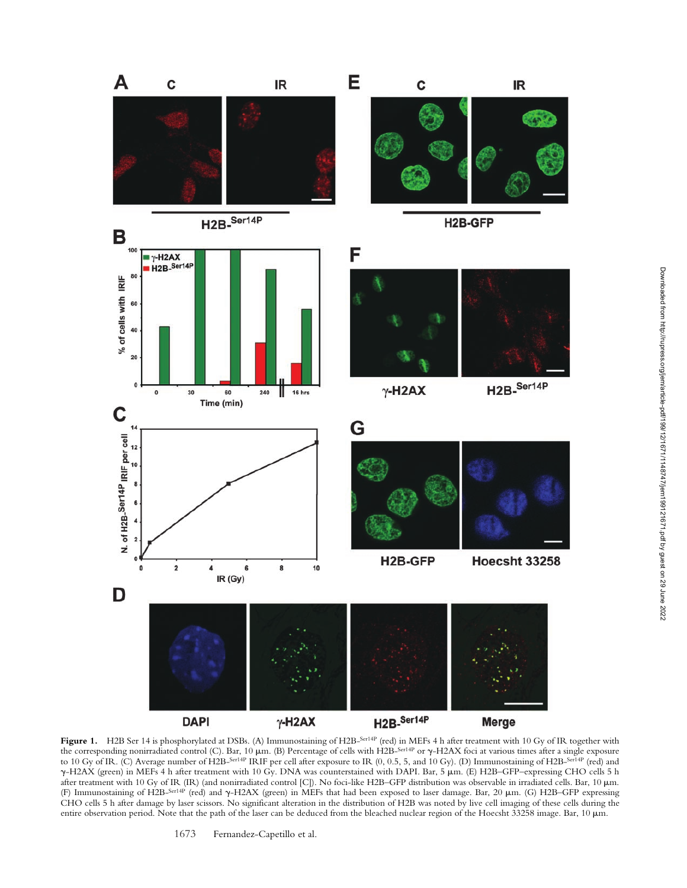

**Figure 1.** H2B Ser 14 is phosphorylated at DSBs. (A) Immunostaining of H2B-Ser14P (red) in MEFs 4 h after treatment with 10 Gy of IR together with the corresponding nonirradiated control (C). Bar, 10  $\mu$ m. (B) Percentage of cells with H2B-<sup>Ser14P</sup> or  $\gamma$ -H2AX foci at various times after a single exposure to 10 Gy of IR. (C) Average number of H2B-Ser14P IRIF per cell after exposure to IR (0, 0.5, 5, and 10 Gy). (D) Immunostaining of H2B-Ser14P (red) and --H2AX (green) in MEFs 4 h after treatment with 10 Gy. DNA was counterstained with DAPI. Bar, 5 m. (E) H2B–GFP–expressing CHO cells 5 h after treatment with 10 Gy of IR (IR) (and nonirradiated control [C]). No foci-like H2B-GFP distribution was observable in irradiated cells. Bar, 10  $\mu$ m. (F) Immunostaining of H2B-Ser14P (red) and  $\gamma$ -H2AX (green) in MEFs that had been exposed to laser damage. Bar, 20 µm. (G) H2B-GFP expressing CHO cells 5 h after damage by laser scissors. No significant alteration in the distribution of H2B was noted by live cell imaging of these cells during the entire observation period. Note that the path of the laser can be deduced from the bleached nuclear region of the Hoecsht 33258 image. Bar, 10 µm.

1673 Fernandez-Capetillo et al.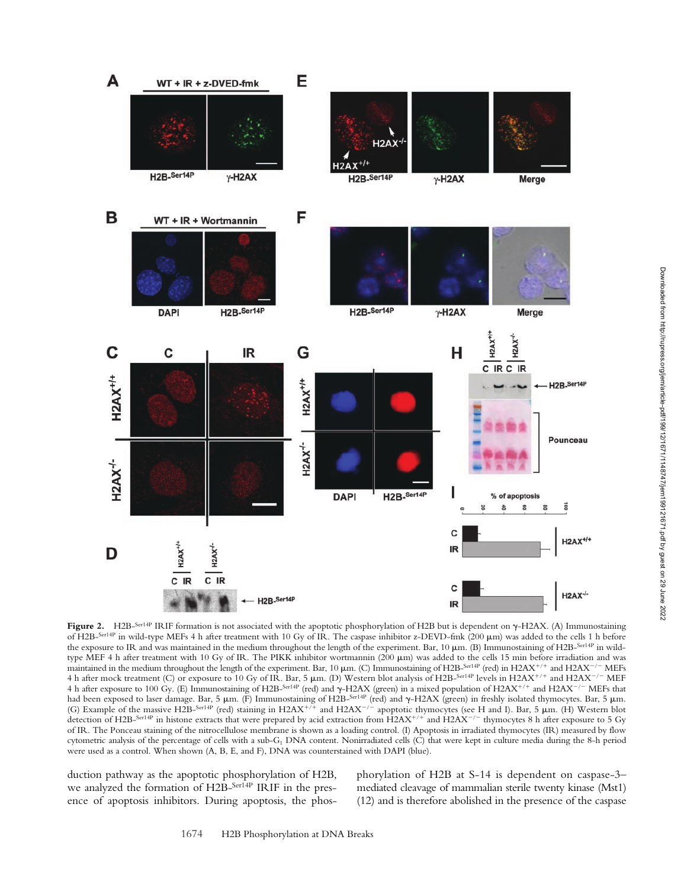

**Figure 2.** H2B-<sup>Ser14P</sup> IRIF formation is not associated with the apoptotic phosphorylation of H2B but is dependent on γ-H2AX. (A) Immunostaining of H2B-Ser14P in wild-type MEFs 4 h after treatment with 10 Gy of IR. The caspase inhibitor z-DEVD-fmk (200 m) was added to the cells 1 h before the exposure to IR and was maintained in the medium throughout the length of the experiment. Bar,  $10 \mu m$ . (B) Immunostaining of H2B-Ser14P in wildtype MEF 4 h after treatment with 10 Gy of IR. The PIKK inhibitor wortmannin (200 µm) was added to the cells 15 min before irradiation and was maintained in the medium throughout the length of the experiment. Bar, 10  $\mu$ m. (C) Immunostaining of H2B-Ser14P (red) in H2AX<sup>+/+</sup> and H2AX<sup>-/-</sup> MEFs 4 h after mock treatment (C) or exposure to 10 Gy of IR. Bar, 5  $\mu$ m. (D) Western blot analysis of H2B-Ser14P levels in H2AX<sup>+/+</sup> and H2AX<sup>-/-</sup> MEF 4 h after exposure to 100 Gy. (E) Immunostaining of H2B-Ser14P (red) and  $\gamma$ -H2AX (green) in a mixed population of H2AX<sup>+/+</sup> and H2AX<sup>-/-</sup> MEFs that had been exposed to laser damage. Bar, 5 μm. (F) Immunostaining of H2B<sup>\_ser14P</sup> (red) and γ-H2AX (green) in freshly isolated thymocytes. Bar, 5 μm. (G) Example of the massive H2B-<sup>Ser14P</sup> (red) staining in H2AX<sup>+/+</sup> and H2AX<sup>-/-</sup> apoptotic thymocytes (see H and I). Bar, 5  $\mu$ m. (H) Western blot detection of H2B-Ser14P in histone extracts that were prepared by acid extraction from  $H2AX^{+/+}$  and  $H2AX^{-/-}$  thymocytes 8 h after exposure to 5 Gy of IR. The Ponceau staining of the nitrocellulose membrane is shown as a loading control. (I) Apoptosis in irradiated thymocytes (IR) measured by flow cytometric analysis of the percentage of cells with a sub-G1 DNA content. Nonirradiated cells (C) that were kept in culture media during the 8-h period were used as a control. When shown (A, B, E, and F), DNA was counterstained with DAPI (blue).

duction pathway as the apoptotic phosphorylation of H2B, we analyzed the formation of H2B-Ser<sup>14P</sup> IRIF in the presence of apoptosis inhibitors. During apoptosis, the phosphorylation of H2B at S-14 is dependent on caspase-3– mediated cleavage of mammalian sterile twenty kinase (Mst1) (12) and is therefore abolished in the presence of the caspase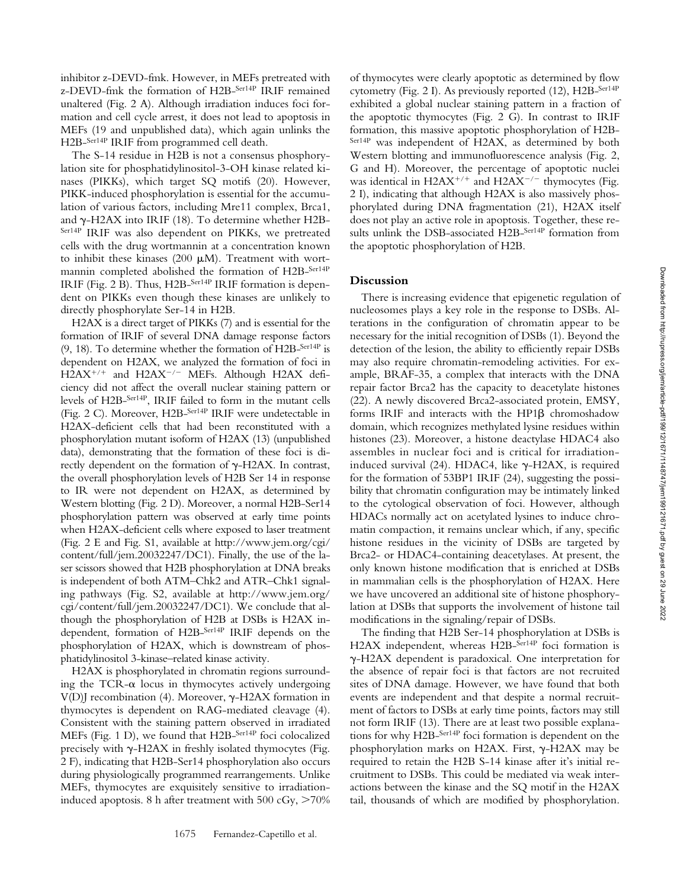inhibitor z-DEVD-fmk. However, in MEFs pretreated with z-DEVD-fmk the formation of H2B-Ser14P IRIF remained unaltered (Fig. 2 A). Although irradiation induces foci formation and cell cycle arrest, it does not lead to apoptosis in MEFs (19 and unpublished data), which again unlinks the H2B-Ser14P IRIF from programmed cell death.

The S-14 residue in H2B is not a consensus phosphorylation site for phosphatidylinositol-3-OH kinase related kinases (PIKKs), which target SQ motifs (20). However, PIKK-induced phosphorylation is essential for the accumulation of various factors, including Mre11 complex, Brca1, and  $\gamma$ -H2AX into IRIF (18). To determine whether H2B-Ser14P IRIF was also dependent on PIKKs, we pretreated cells with the drug wortmannin at a concentration known to inhibit these kinases (200  $\mu$ M). Treatment with wortmannin completed abolished the formation of H2B-Ser14P IRIF (Fig. 2 B). Thus, H2B-Ser14P IRIF formation is dependent on PIKKs even though these kinases are unlikely to directly phosphorylate Ser-14 in H2B.

H2AX is a direct target of PIKKs (7) and is essential for the formation of IRIF of several DNA damage response factors (9, 18). To determine whether the formation of H2B- $^{Ser14P}$  is dependent on H2AX, we analyzed the formation of foci in  $H2AX^{+/+}$  and  $H2AX^{-/-}$  MEFs. Although H2AX deficiency did not affect the overall nuclear staining pattern or levels of H2B-Ser14P, IRIF failed to form in the mutant cells (Fig. 2 C). Moreover, H2B-Ser14P IRIF were undetectable in H2AX-deficient cells that had been reconstituted with a phosphorylation mutant isoform of H2AX (13) (unpublished data), demonstrating that the formation of these foci is directly dependent on the formation of  $\gamma$ -H2AX. In contrast, the overall phosphorylation levels of H2B Ser 14 in response to IR were not dependent on H2AX, as determined by Western blotting (Fig. 2 D). Moreover, a normal H2B-Ser14 phosphorylation pattern was observed at early time points when H2AX-deficient cells where exposed to laser treatment (Fig. 2 E and Fig. S1, available at http://www.jem.org/cgi/ content/full/jem.20032247/DC1). Finally, the use of the laser scissors showed that H2B phosphorylation at DNA breaks is independent of both ATM–Chk2 and ATR–Chk1 signaling pathways (Fig. S2, available at http://www.jem.org/ cgi/content/full/jem.20032247/DC1). We conclude that although the phosphorylation of H2B at DSBs is H2AX independent, formation of H2B-Ser14P IRIF depends on the phosphorylation of H2AX, which is downstream of phosphatidylinositol 3-kinase–related kinase activity.

H2AX is phosphorylated in chromatin regions surrounding the TCR- $\alpha$  locus in thymocytes actively undergoing V(D)J recombination (4). Moreover,  $\gamma$ -H2AX formation in thymocytes is dependent on RAG-mediated cleavage (4). Consistent with the staining pattern observed in irradiated MEFs (Fig. 1 D), we found that H2B-Ser14P foci colocalized precisely with  $\gamma$ -H2AX in freshly isolated thymocytes (Fig. 2 F), indicating that H2B-Ser14 phosphorylation also occurs during physiologically programmed rearrangements. Unlike MEFs, thymocytes are exquisitely sensitive to irradiationinduced apoptosis. 8 h after treatment with 500 cGy,  $>70\%$ 

of thymocytes were clearly apoptotic as determined by flow cytometry (Fig. 2 I). As previously reported (12), H2B-Ser14P exhibited a global nuclear staining pattern in a fraction of the apoptotic thymocytes (Fig. 2 G). In contrast to IRIF formation, this massive apoptotic phosphorylation of H2B-Ser14P was independent of H2AX, as determined by both Western blotting and immunofluorescence analysis (Fig. 2, G and H). Moreover, the percentage of apoptotic nuclei was identical in  $H2AX^{+/+}$  and  $H2AX^{-/-}$  thymocytes (Fig. 2 I), indicating that although H2AX is also massively phosphorylated during DNA fragmentation (21), H2AX itself does not play an active role in apoptosis. Together, these results unlink the DSB-associated H2B-Ser14P formation from the apoptotic phosphorylation of H2B.

## **Discussion**

There is increasing evidence that epigenetic regulation of nucleosomes plays a key role in the response to DSBs. Alterations in the configuration of chromatin appear to be necessary for the initial recognition of DSBs (1). Beyond the detection of the lesion, the ability to efficiently repair DSBs may also require chromatin-remodeling activities. For example, BRAF-35, a complex that interacts with the DNA repair factor Brca2 has the capacity to deacetylate histones (22). A newly discovered Brca2-associated protein, EMSY, forms IRIF and interacts with the HP1 chromoshadow domain, which recognizes methylated lysine residues within histones (23). Moreover, a histone deactylase HDAC4 also assembles in nuclear foci and is critical for irradiationinduced survival (24). HDAC4, like  $\gamma$ -H2AX, is required for the formation of 53BP1 IRIF (24), suggesting the possibility that chromatin configuration may be intimately linked to the cytological observation of foci. However, although HDACs normally act on acetylated lysines to induce chromatin compaction, it remains unclear which, if any, specific histone residues in the vicinity of DSBs are targeted by Brca2- or HDAC4-containing deacetylases. At present, the only known histone modification that is enriched at DSBs in mammalian cells is the phosphorylation of H2AX. Here we have uncovered an additional site of histone phosphorylation at DSBs that supports the involvement of histone tail modifications in the signaling/repair of DSBs.

The finding that H2B Ser-14 phosphorylation at DSBs is H2AX independent, whereas H2B-Ser14P foci formation is --H2AX dependent is paradoxical. One interpretation for the absence of repair foci is that factors are not recruited sites of DNA damage. However, we have found that both events are independent and that despite a normal recruitment of factors to DSBs at early time points, factors may still not form IRIF (13). There are at least two possible explanations for why H2B-Ser14P foci formation is dependent on the phosphorylation marks on H2AX. First, y-H2AX may be required to retain the H2B S-14 kinase after it's initial recruitment to DSBs. This could be mediated via weak interactions between the kinase and the SQ motif in the H2AX tail, thousands of which are modified by phosphorylation.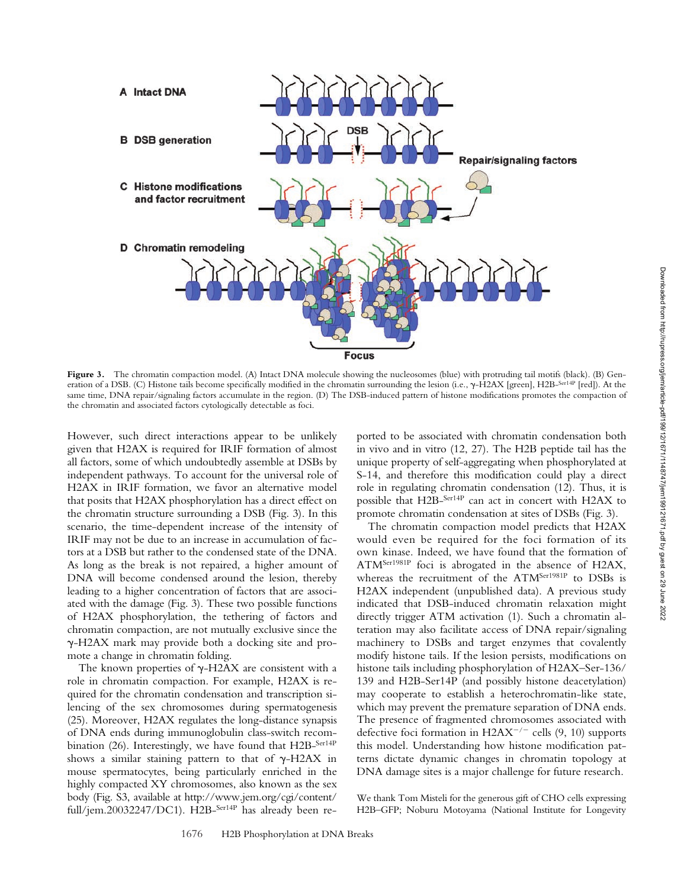

Figure 3. The chromatin compaction model. (A) Intact DNA molecule showing the nucleosomes (blue) with protruding tail motifs (black). (B) Generation of a DSB. (C) Histone tails become specifically modified in the chromatin surrounding the lesion (i.e.,  $\gamma$ -H2AX [green], H2B-<sup>Ser14P</sup> [red]). At the same time, DNA repair/signaling factors accumulate in the region. (D) The DSB-induced pattern of histone modifications promotes the compaction of the chromatin and associated factors cytologically detectable as foci.

However, such direct interactions appear to be unlikely given that H2AX is required for IRIF formation of almost all factors, some of which undoubtedly assemble at DSBs by independent pathways. To account for the universal role of H2AX in IRIF formation, we favor an alternative model that posits that H2AX phosphorylation has a direct effect on the chromatin structure surrounding a DSB (Fig. 3). In this scenario, the time-dependent increase of the intensity of IRIF may not be due to an increase in accumulation of factors at a DSB but rather to the condensed state of the DNA. As long as the break is not repaired, a higher amount of DNA will become condensed around the lesion, thereby leading to a higher concentration of factors that are associated with the damage (Fig. 3). These two possible functions of H2AX phosphorylation, the tethering of factors and chromatin compaction, are not mutually exclusive since the --H2AX mark may provide both a docking site and promote a change in chromatin folding.

The known properties of  $\gamma$ -H2AX are consistent with a role in chromatin compaction. For example, H2AX is required for the chromatin condensation and transcription silencing of the sex chromosomes during spermatogenesis (25). Moreover, H2AX regulates the long-distance synapsis of DNA ends during immunoglobulin class-switch recombination (26). Interestingly, we have found that H2B-Ser14P shows a similar staining pattern to that of  $\gamma$ -H2AX in mouse spermatocytes, being particularly enriched in the highly compacted XY chromosomes, also known as the sex body (Fig. S3, available at http://www.jem.org/cgi/content/ full/jem.20032247/DC1). H2B-Ser14P has already been re-

ported to be associated with chromatin condensation both in vivo and in vitro (12, 27). The H2B peptide tail has the unique property of self-aggregating when phosphorylated at S-14, and therefore this modification could play a direct role in regulating chromatin condensation (12). Thus, it is possible that H2B-Ser14P can act in concert with H2AX to promote chromatin condensation at sites of DSBs (Fig. 3).

The chromatin compaction model predicts that H2AX would even be required for the foci formation of its own kinase. Indeed, we have found that the formation of ATMSer1981P foci is abrogated in the absence of H2AX, whereas the recruitment of the ATM<sup>Ser1981P</sup> to DSBs is H2AX independent (unpublished data). A previous study indicated that DSB-induced chromatin relaxation might directly trigger ATM activation (1). Such a chromatin alteration may also facilitate access of DNA repair/signaling machinery to DSBs and target enzymes that covalently modify histone tails. If the lesion persists, modifications on histone tails including phosphorylation of H2AX–Ser-136/ 139 and H2B-Ser14P (and possibly histone deacetylation) may cooperate to establish a heterochromatin-like state, which may prevent the premature separation of DNA ends. The presence of fragmented chromosomes associated with defective foci formation in  $H2AX^{-/-}$  cells (9, 10) supports this model. Understanding how histone modification patterns dictate dynamic changes in chromatin topology at DNA damage sites is a major challenge for future research.

We thank Tom Misteli for the generous gift of CHO cells expressing H2B–GFP; Noburu Motoyama (National Institute for Longevity